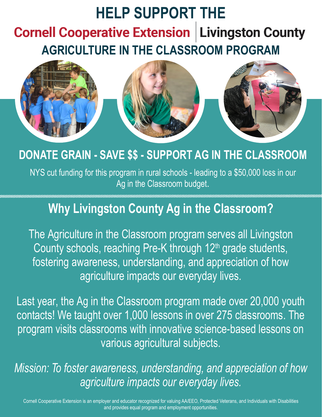# **HELP SUPPORT THE Cornell Cooperative Extension | Livingston County AGRICULTURE IN THE CLASSROOM PROGRAM**



### **DONATE GRAIN - SAVE \$\$ - SUPPORT AG IN THE CLASSROOM**

NYS cut funding for this program in rural schools - leading to a \$50,000 loss in our Ag in the Classroom budget.

### **Why Livingston County Ag in the Classroom?**

The Agriculture in the Classroom program serves all Livingston County schools, reaching Pre-K through 12<sup>th</sup> grade students, fostering awareness, understanding, and appreciation of how agriculture impacts our everyday lives.

Last year, the Ag in the Classroom program made over 20,000 youth contacts! We taught over 1,000 lessons in over 275 classrooms. The program visits classrooms with innovative science-based lessons on various agricultural subjects.

*Mission: To foster awareness, understanding, and appreciation of how agriculture impacts our everyday lives.*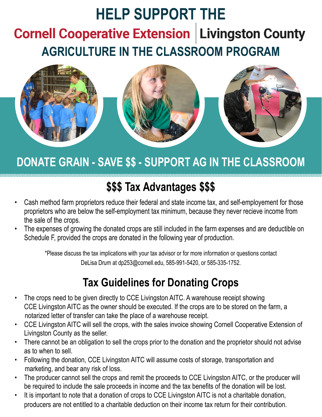# **HELP SUPPORT THECornell Cooperative Extension | Livingston County AGRICULTURE IN THE CLASSROOM PROGRAM**



## **DONATE GRAIN - SAVE \$\$ - SUPPORT AG IN THE CLASSROOM**

### **\$\$\$ Tax Advantages \$\$\$**

- Cash method farm proprietors reduce their federal and state income tax, and self-employement for those proprietors who are below the self-employment tax minimum, because they never recieve income from the sale of the crops.
- The expenses of growing the donated crops are still included in the farm expenses and are deductible on Schedule F, provided the crops are donated in the following year of production.

\*Please discuss the tax implications with your tax advisor or for more information or questions contact DeLisa Drum at dp253@cornell.edu, 585-991-5420, or 585-335-1752.

#### **Tax Guidelines for Donating Crops**

- The crops need to be given directly to CCE Livingston AITC. A warehouse receipt showing CCE Livingston AITC as the owner should be executed. If the crops are to be stored on the farm, a notarized letter of transfer can take the place of a warehouse receipt.
- CCE Livingston AITC will sell the crops, with the sales invoice showing Cornell Cooperative Extension of Livingston County as the seller.
- There cannot be an obligation to sell the crops prior to the donation and the proprietor should not advise as to when to sell.
- Following the donation, CCE Livingston AITC will assume costs of storage, transportation and marketing, and bear any risk of loss.
- The producer cannot sell the crops and remit the proceeds to CCE Livingston AITC, or the producer will be required to include the sale proceeds in income and the tax benefits of the donation will be lost.
- It is important to note that a donation of crops to CCE Livingston AITC is not a charitable donation, producers are not entitled to a charitable deduction on their income tax return for their contribution.